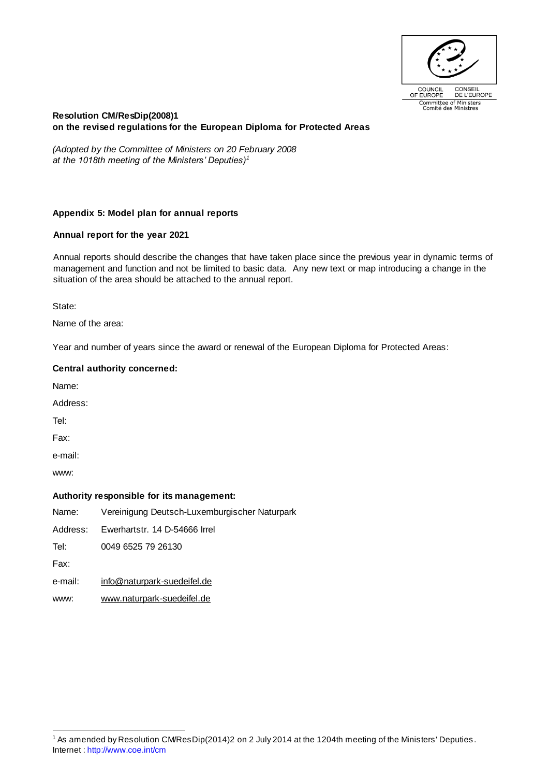

## **Resolution CM/ResDip(2008)1 on the revised regulations for the European Diploma for Protected Areas**

*(Adopted by the Committee of Ministers on 20 February 2008 at the 1018th meeting of the Ministers' Deputies)<sup>1</sup>*

## **Appendix 5: Model plan for annual reports**

## **Annual report for the year 2021**

Annual reports should describe the changes that have taken place since the previous year in dynamic terms of management and function and not be limited to basic data. Any new text or map introducing a change in the situation of the area should be attached to the annual report.

State:

Name of the area:

Year and number of years since the award or renewal of the European Diploma for Protected Areas:

#### **Central authority concerned:**

Name:

Address:

Tel:

Fax:

e-mail:

www:

## **Authority responsible for its management:**

Name: Vereinigung Deutsch-Luxemburgischer Naturpark

Address: Ewerhartstr. 14 D-54666 Irrel

Tel: 0049 6525 79 26130

Fax:

- e-mail: [info@naturpark-suedeifel.de](mailto:info@naturpark-suedeifel.de)
- www: [www.naturpark-suedeifel.de](http://www.naturpark-suedeifel.de/)

Internet [: http://www.coe.int/cm](http://www.coe.int/cm) <sup>1</sup> As amended by Resolution CM/ResDip(2014)2 on 2 July 2014 at the 1204th meeting of the Ministers' Deputies .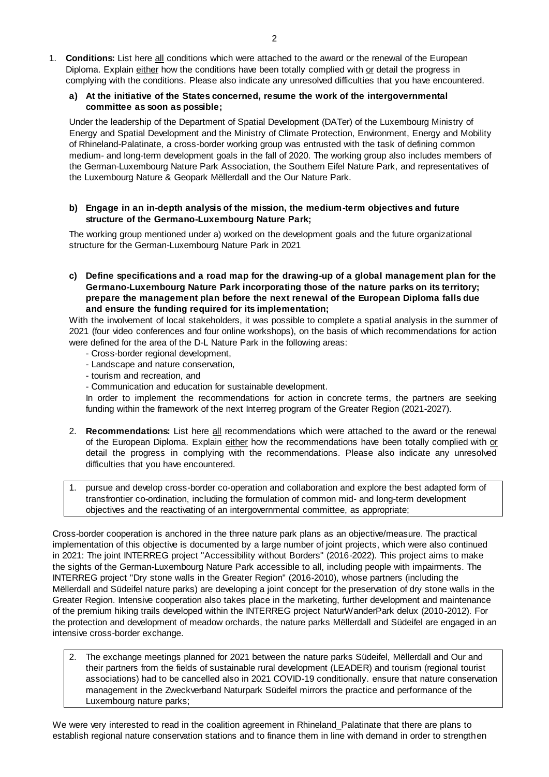1. **Conditions:** List here all conditions which were attached to the award or the renewal of the European Diploma. Explain either how the conditions have been totally complied with or detail the progress in complying with the conditions. Please also indicate any unresolved difficulties that you have encountered.

### **a) At the initiative of the States concerned, resume the work of the intergovernmental committee as soon as possible;**

Under the leadership of the Department of Spatial Development (DATer) of the Luxembourg Ministry of Energy and Spatial Development and the Ministry of Climate Protection, Environment, Energy and Mobility of Rhineland-Palatinate, a cross-border working group was entrusted with the task of defining common medium- and long-term development goals in the fall of 2020. The working group also includes members of the German-Luxembourg Nature Park Association, the Southern Eifel Nature Park, and representatives of the Luxembourg Nature & Geopark Mëllerdall and the Our Nature Park.

**b) Engage in an in-depth analysis of the mission, the medium-term objectives and future structure of the Germano-Luxembourg Nature Park;**

The working group mentioned under a) worked on the development goals and the future organizational structure for the German-Luxembourg Nature Park in 2021

**c) Define specifications and a road map for the drawing-up of a global management plan for the Germano-Luxembourg Nature Park incorporating those of the nature parks on its territory; prepare the management plan before the next renewal of the European Diploma falls due and ensure the funding required for its implementation;**

With the involvement of local stakeholders, it was possible to complete a spatial analysis in the summer of 2021 (four video conferences and four online workshops), on the basis of which recommendations for action were defined for the area of the D-L Nature Park in the following areas:

- Cross-border regional development,
- Landscape and nature conservation,
- tourism and recreation, and
- Communication and education for sustainable development.

In order to implement the recommendations for action in concrete terms, the partners are seeking funding within the framework of the next Interreg program of the Greater Region (2021-2027).

- 2. **Recommendations:** List here all recommendations which were attached to the award or the renewal of the European Diploma. Explain either how the recommendations have been totally complied with or detail the progress in complying with the recommendations. Please also indicate any unresolved difficulties that you have encountered.
- 1. pursue and develop cross-border co-operation and collaboration and explore the best adapted form of transfrontier co-ordination, including the formulation of common mid- and long-term development objectives and the reactivating of an intergovernmental committee, as appropriate;

Cross-border cooperation is anchored in the three nature park plans as an objective/measure. The practical implementation of this objective is documented by a large number of joint projects, which were also continued in 2021: The joint INTERREG project "Accessibility without Borders" (2016-2022). This project aims to make the sights of the German-Luxembourg Nature Park accessible to all, including people with impairments. The INTERREG project "Dry stone walls in the Greater Region" (2016-2010), whose partners (including the Mëllerdall and Südeifel nature parks) are developing a joint concept for the preservation of dry stone walls in the Greater Region. Intensive cooperation also takes place in the marketing, further development and maintenance of the premium hiking trails developed within the INTERREG project NaturWanderPark delux (2010-2012). For the protection and development of meadow orchards, the nature parks Mëllerdall and Südeifel are engaged in an intensive cross-border exchange.

2. The exchange meetings planned for 2021 between the nature parks Südeifel, Mëllerdall and Our and their partners from the fields of sustainable rural development (LEADER) and tourism (regional tourist associations) had to be cancelled also in 2021 COVID-19 conditionally. ensure that nature conservation management in the Zweckverband Naturpark Südeifel mirrors the practice and performance of the Luxembourg nature parks;

We were very interested to read in the coalition agreement in Rhineland Palatinate that there are plans to establish regional nature conservation stations and to finance them in line with demand in order to strengthen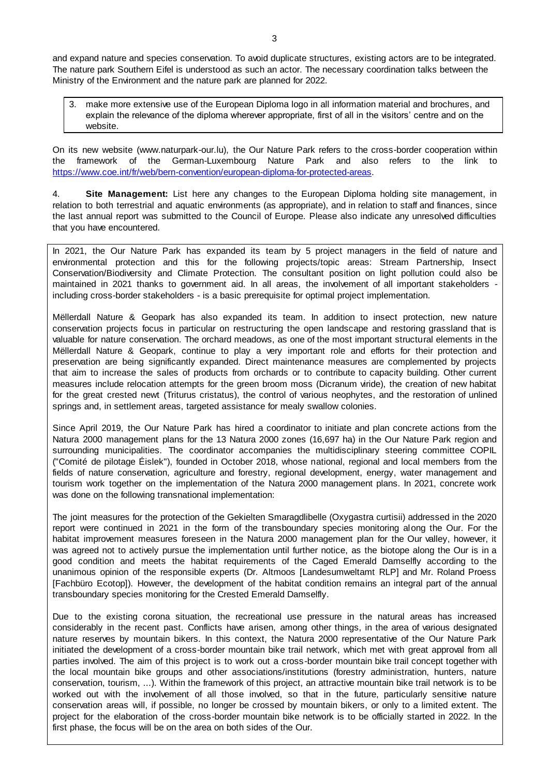and expand nature and species conservation. To avoid duplicate structures, existing actors are to be integrated. The nature park Southern Eifel is understood as such an actor. The necessary coordination talks between the Ministry of the Environment and the nature park are planned for 2022.

make more extensive use of the European Diploma logo in all information material and brochures, and explain the relevance of the diploma wherever appropriate, first of all in the visitors' centre and on the website.

On its new website (www.naturpark-our.lu), the Our Nature Park refers to the cross-border cooperation within the framework of the German-Luxembourg Nature Park and also refers to the link to [https://www.coe.int/fr/web/bern-convention/european-diploma-for-protected-areas.](https://www.coe.int/fr/web/bern-convention/european-diploma-for-protected-areas)

4. **Site Management:** List here any changes to the European Diploma holding site management, in relation to both terrestrial and aquatic environments (as appropriate), and in relation to staff and finances, since the last annual report was submitted to the Council of Europe. Please also indicate any unresolved difficulties that you have encountered.

In 2021, the Our Nature Park has expanded its team by 5 project managers in the field of nature and environmental protection and this for the following projects/topic areas: Stream Partnership, Insect Conservation/Biodiversity and Climate Protection. The consultant position on light pollution could also be maintained in 2021 thanks to government aid. In all areas, the involvement of all important stakeholders including cross-border stakeholders - is a basic prerequisite for optimal project implementation.

Mëllerdall Nature & Geopark has also expanded its team. In addition to insect protection, new nature conservation projects focus in particular on restructuring the open landscape and restoring grassland that is valuable for nature conservation. The orchard meadows, as one of the most important structural elements in the Mëllerdall Nature & Geopark, continue to play a very important role and efforts for their protection and preservation are being significantly expanded. Direct maintenance measures are complemented by projects that aim to increase the sales of products from orchards or to contribute to capacity building. Other current measures include relocation attempts for the green broom moss (Dicranum viride), the creation of new habitat for the great crested newt (Triturus cristatus), the control of various neophytes, and the restoration of unlined springs and, in settlement areas, targeted assistance for mealy swallow colonies.

Since April 2019, the Our Nature Park has hired a coordinator to initiate and plan concrete actions from the Natura 2000 management plans for the 13 Natura 2000 zones (16,697 ha) in the Our Nature Park region and surrounding municipalities. The coordinator accompanies the multidisciplinary steering committee COPIL ("Comité de pilotage Éislek"), founded in October 2018, whose national, regional and local members from the fields of nature conservation, agriculture and forestry, regional development, energy, water management and tourism work together on the implementation of the Natura 2000 management plans. In 2021, concrete work was done on the following transnational implementation:

The joint measures for the protection of the Gekielten Smaragdlibelle (Oxygastra curtisii) addressed in the 2020 report were continued in 2021 in the form of the transboundary species monitoring along the Our. For the habitat improvement measures foreseen in the Natura 2000 management plan for the Our valley, however, it was agreed not to actively pursue the implementation until further notice, as the biotope along the Our is in a good condition and meets the habitat requirements of the Caged Emerald Damselfly according to the unanimous opinion of the responsible experts (Dr. Altmoos [Landesumweltamt RLP] and Mr. Roland Proess [Fachbüro Ecotop]). However, the development of the habitat condition remains an integral part of the annual transboundary species monitoring for the Crested Emerald Damselfly.

Due to the existing corona situation, the recreational use pressure in the natural areas has increased considerably in the recent past. Conflicts have arisen, among other things, in the area of various designated nature reserves by mountain bikers. In this context, the Natura 2000 representative of the Our Nature Park initiated the development of a cross-border mountain bike trail network, which met with great approval from all parties involved. The aim of this project is to work out a cross-border mountain bike trail concept together with the local mountain bike groups and other associations/institutions (forestry administration, hunters, nature conservation, tourism, ...). Within the framework of this project, an attractive mountain bike trail network is to be worked out with the involvement of all those involved, so that in the future, particularly sensitive nature conservation areas will, if possible, no longer be crossed by mountain bikers, or only to a limited extent. The project for the elaboration of the cross-border mountain bike network is to be officially started in 2022. In the first phase, the focus will be on the area on both sides of the Our.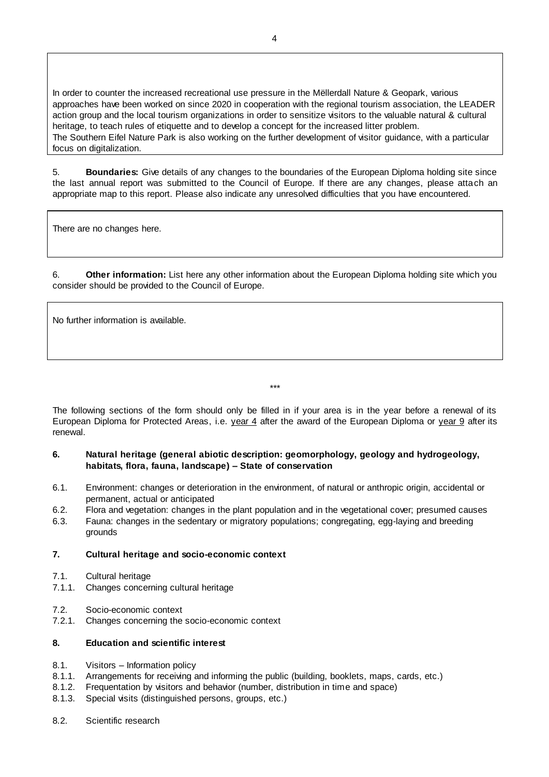In order to counter the increased recreational use pressure in the Mëllerdall Nature & Geopark, various approaches have been worked on since 2020 in cooperation with the regional tourism association, the LEADER action group and the local tourism organizations in order to sensitize visitors to the valuable natural & cultural heritage, to teach rules of etiquette and to develop a concept for the increased litter problem. The Southern Eifel Nature Park is also working on the further development of visitor guidance, with a particular focus on digitalization.

5. **Boundaries:** Give details of any changes to the boundaries of the European Diploma holding site since the last annual report was submitted to the Council of Europe. If there are any changes, please attach an appropriate map to this report. Please also indicate any unresolved difficulties that you have encountered.

There are no changes here.

6. **Other information:** List here any other information about the European Diploma holding site which you consider should be provided to the Council of Europe.

No further information is available.

\*\*\*

The following sections of the form should only be filled in if your area is in the year before a renewal of its European Diploma for Protected Areas, i.e. year 4 after the award of the European Diploma or year 9 after its renewal.

#### **6. Natural heritage (general abiotic description: geomorphology, geology and hydrogeology, habitats, flora, fauna, landscape) – State of conservation**

- 6.1. Environment: changes or deterioration in the environment, of natural or anthropic origin, accidental or permanent, actual or anticipated
- 6.2. Flora and vegetation: changes in the plant population and in the vegetational cover; presumed causes
- 6.3. Fauna: changes in the sedentary or migratory populations; congregating, egg-laying and breeding grounds

## **7. Cultural heritage and socio-economic context**

- 7.1. Cultural heritage
- 7.1.1. Changes concerning cultural heritage
- 7.2. Socio-economic context
- 7.2.1. Changes concerning the socio-economic context

# **8. Education and scientific interest**

- 8.1. Visitors Information policy
- 8.1.1. Arrangements for receiving and informing the public (building, booklets, maps, cards, etc.)
- 8.1.2. Frequentation by visitors and behavior (number, distribution in time and space)
- 8.1.3. Special visits (distinguished persons, groups, etc.)
- 8.2. Scientific research